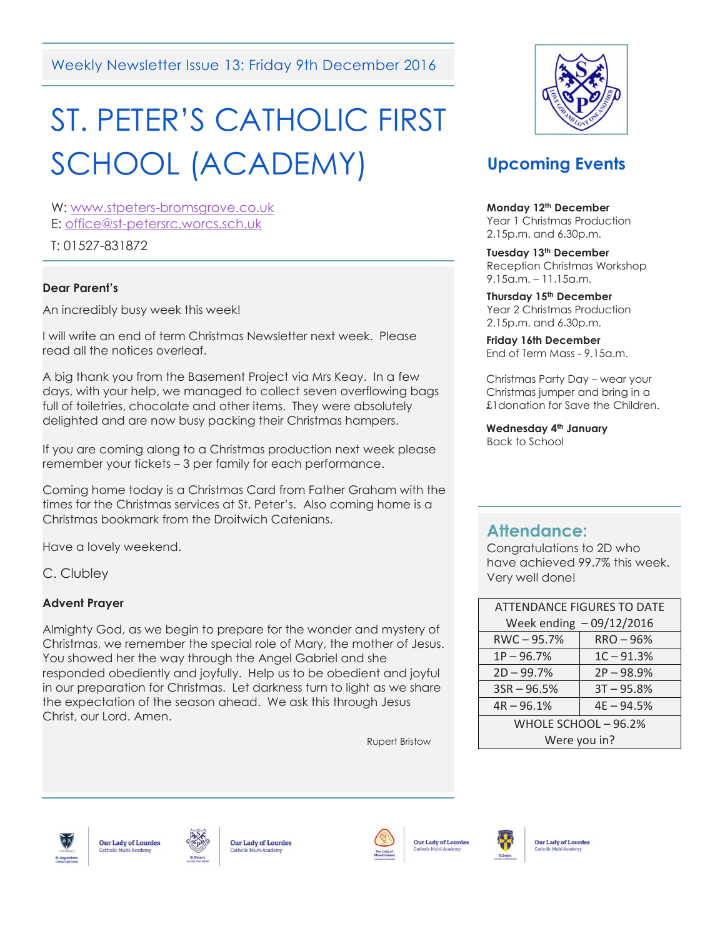Weekly Newsletter Issue 13: Friday 9th December 2016

# ST. PETER'S CATHOLIC FIRST SCHOOL (ACADEMY)

W: [www.stpeters-bromsgrove.co.uk](http://www.stpeters-bromsgrove.co.uk/) E: [office@st-petersrc.worcs.sch.uk](mailto:office@st-petersrc.worcs.sch.uk)

T: 01527-831872

#### **Dear Parent's**

An incredibly busy week this week!

I will write an end of term Christmas Newsletter next week. Please read all the notices overleaf.

A big thank you from the Basement Project via Mrs Keay. In a few days, with your help, we managed to collect seven overflowing bags full of toiletries, chocolate and other items. They were absolutely delighted and are now busy packing their Christmas hampers.

If you are coming along to a Christmas production next week please remember your tickets – 3 per family for each performance.

Coming home today is a Christmas Card from Father Graham with the times for the Christmas services at St. Peter's. Also coming home is a Christmas bookmark from the Droitwich Catenians.

Have a lovely weekend.

C. Clubley

#### **Advent Prayer**

Almighty God, as we begin to prepare for the wonder and mystery of Christmas, we remember the special role of Mary, the mother of Jesus. You showed her the way through the Angel Gabriel and she responded obediently and joyfully. Help us to be obedient and joyful in our preparation for Christmas. Let darkness turn to light as we share the expectation of the season ahead. We ask this through Jesus Christ, our Lord. Amen.

Rupert Bristow



## **Upcoming Events**

 **Monday 12th December** Year 1 Christmas Production 2.15p.m. and 6.30p.m.

 **Tuesday 13th December** Reception Christmas Workshop 9.15a.m. – 11.15a.m.

 **Thursday 15th December** Year 2 Christmas Production 2.15p.m. and 6.30p.m.

**Friday 16th December**  End of Term Mass - 9.15a.m.

Christmas Party Day – wear your Christmas jumper and bring in a £1donation for Save the Children.

**Wednesday 4th January** Back to School

#### **Attendance:**

l

Congratulations to 2D who have achieved 99.7% this week. Very well done!

| <b>ATTENDANCE FIGURES TO DATE</b> |              |
|-----------------------------------|--------------|
| Week ending - 09/12/2016          |              |
| RWC-95.7%                         | RRO-96%      |
| $1P - 96.7%$                      | $1C - 91.3%$ |
| $2D - 99.7%$                      | $2P - 98.9%$ |
| $3SR - 96.5%$                     | $3T - 95.8%$ |
| $4R - 96.1%$                      | $4E - 94.5%$ |
| WHOLE SCHOOL - 96.2%              |              |
| Were you in?                      |              |







**Our Lady of Lourdes** 



**Our Lady of Lourdes** 



**Our Lady of Lourdes**